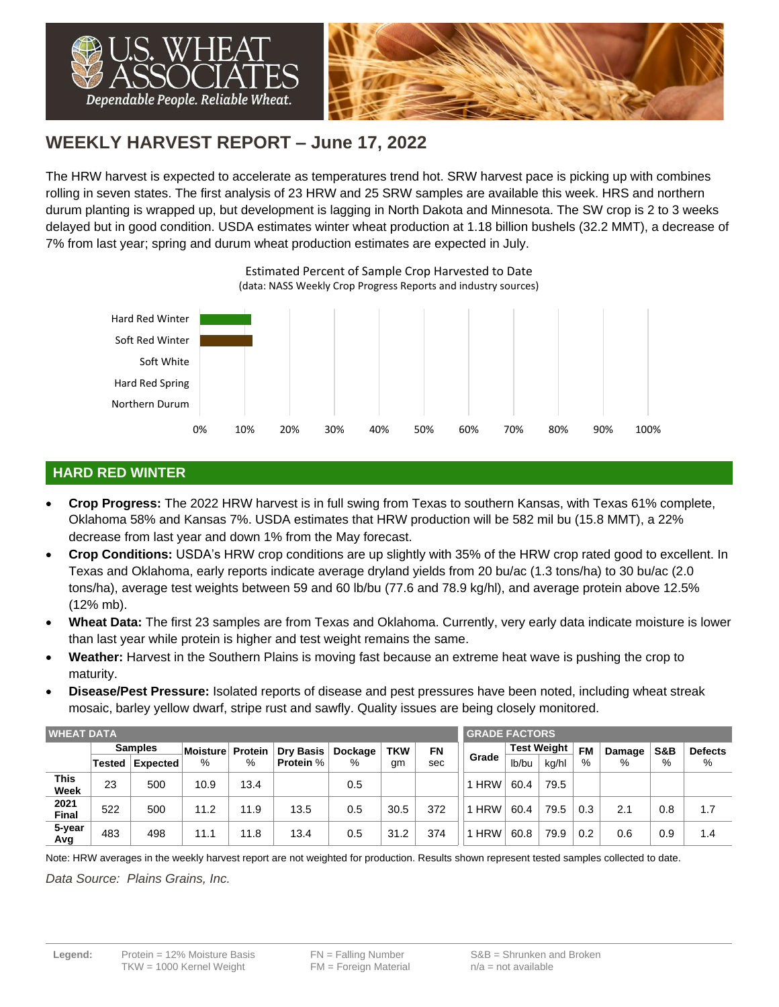

# **WEEKLY HARVEST REPORT – June 17, 2022**

The HRW harvest is expected to accelerate as temperatures trend hot. SRW harvest pace is picking up with combines rolling in seven states. The first analysis of 23 HRW and 25 SRW samples are available this week. HRS and northern durum planting is wrapped up, but development is lagging in North Dakota and Minnesota. The SW crop is 2 to 3 weeks delayed but in good condition. USDA estimates winter wheat production at 1.18 billion bushels (32.2 MMT), a decrease of 7% from last year; spring and durum wheat production estimates are expected in July.



Estimated Percent of Sample Crop Harvested to Date (data: NASS Weekly Crop Progress Reports and industry sources)

## **HARD RED WINTER**

- **Crop Progress:** The 2022 HRW harvest is in full swing from Texas to southern Kansas, with Texas 61% complete, Oklahoma 58% and Kansas 7%. USDA estimates that HRW production will be 582 mil bu (15.8 MMT), a 22% decrease from last year and down 1% from the May forecast.
- **Crop Conditions:** USDA's HRW crop conditions are up slightly with 35% of the HRW crop rated good to excellent. In Texas and Oklahoma, early reports indicate average dryland yields from 20 bu/ac (1.3 tons/ha) to 30 bu/ac (2.0 tons/ha), average test weights between 59 and 60 lb/bu (77.6 and 78.9 kg/hl), and average protein above 12.5% (12% mb).
- **Wheat Data:** The first 23 samples are from Texas and Oklahoma. Currently, very early data indicate moisture is lower than last year while protein is higher and test weight remains the same.
- **Weather:** Harvest in the Southern Plains is moving fast because an extreme heat wave is pushing the crop to maturity.
- **Disease/Pest Pressure:** Isolated reports of disease and pest pressures have been noted, including wheat streak mosaic, barley yellow dwarf, stripe rust and sawfly. Quality issues are being closely monitored.

| <b>WHEAT DATA</b>    |                |          |          |         |                  |         |            |     | <b>GRADE FACTORS</b> |                    |       |           |        |     |                |  |
|----------------------|----------------|----------|----------|---------|------------------|---------|------------|-----|----------------------|--------------------|-------|-----------|--------|-----|----------------|--|
|                      | <b>Samples</b> |          | Moisture | Protein | <b>Dry Basis</b> | Dockage | <b>TKW</b> | FN  |                      | <b>Test Weight</b> |       | <b>FM</b> | Damage | S&B | <b>Defects</b> |  |
|                      | <b>Tested</b>  | Expected | %        | %       | <b>Protein %</b> | %       | gm         | sec | Grade                | lb/bu              | kg/hl | %         | %      | %   | %              |  |
| This<br>Week         | 23             | 500      | 10.9     | 13.4    |                  | 0.5     |            |     | 1 HRW                | 60.4               | 79.5  |           |        |     |                |  |
| 2021<br><b>Final</b> | 522            | 500      | 11.2     | 11.9    | 13.5             | 0.5     | 30.5       | 372 | <b>HRW</b>           | 60.4               | 79.5  | 0.3       | 2.1    | 0.8 | 1.7            |  |
| 5-year<br>Avg        | 483            | 498      | 11.1     | 11.8    | 13.4             | 0.5     | 31.2       | 374 | <b>HRW</b>           | 60.8               | 79.9  | 0.2       | 0.6    | 0.9 | 1.4            |  |

Note: HRW averages in the weekly harvest report are not weighted for production. Results shown represent tested samples collected to date.

*Data Source: Plains Grains, Inc.*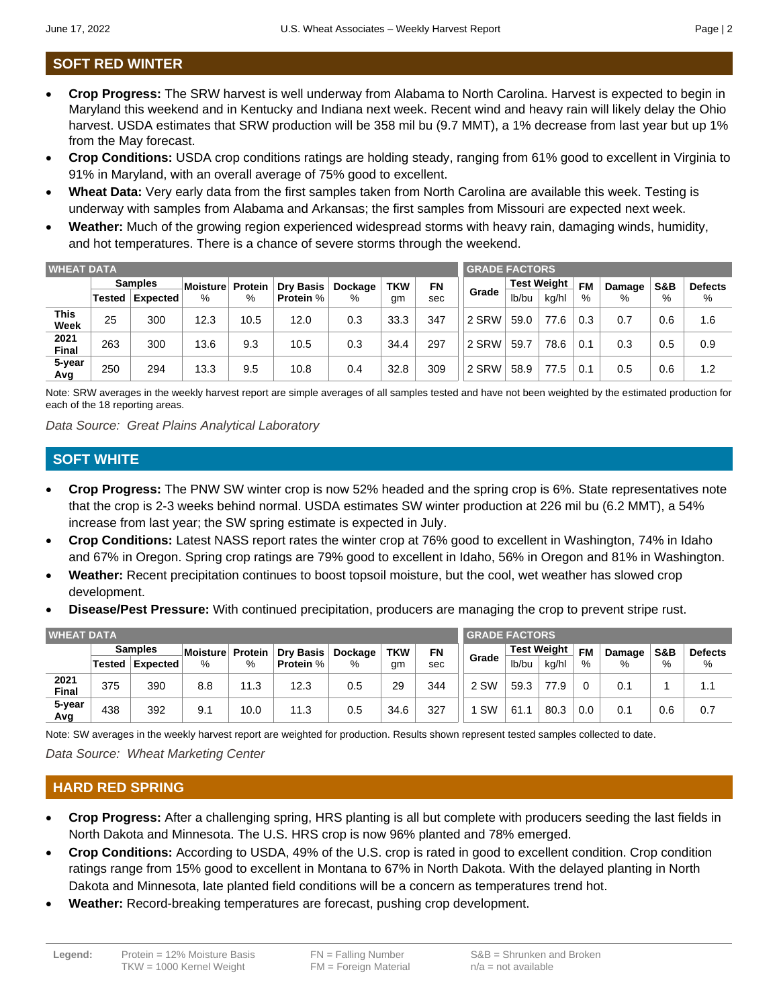## **SOFT RED WINTER**

- **Crop Progress:** The SRW harvest is well underway from Alabama to North Carolina. Harvest is expected to begin in Maryland this weekend and in Kentucky and Indiana next week. Recent wind and heavy rain will likely delay the Ohio harvest. USDA estimates that SRW production will be 358 mil bu (9.7 MMT), a 1% decrease from last year but up 1% from the May forecast.
- **Crop Conditions:** USDA crop conditions ratings are holding steady, ranging from 61% good to excellent in Virginia to 91% in Maryland, with an overall average of 75% good to excellent.
- **Wheat Data:** Very early data from the first samples taken from North Carolina are available this week. Testing is underway with samples from Alabama and Arkansas; the first samples from Missouri are expected next week.
- **Weather:** Much of the growing region experienced widespread storms with heavy rain, damaging winds, humidity, and hot temperatures. There is a chance of severe storms through the weekend.

| <b>WHEAT DATA</b>    |                |          |          |         |                  |         |            |     |       | <b>GRADE FACTORS</b> |       |           |        |     |                |  |  |
|----------------------|----------------|----------|----------|---------|------------------|---------|------------|-----|-------|----------------------|-------|-----------|--------|-----|----------------|--|--|
|                      | <b>Samples</b> |          | Moisture | Protein | Dry Basis        | Dockage | <b>TKW</b> | FN  |       | <b>Test Weight</b>   |       | <b>FM</b> | Damage | S&B | <b>Defects</b> |  |  |
|                      | Tested         | Expected | %        | %       | <b>Protein %</b> | %       | gm         | sec | Grade | lb/bu                | kg/hl | %         | %      | %   | %              |  |  |
| This<br>Week         | 25             | 300      | 12.3     | 10.5    | 12.0             | 0.3     | 33.3       | 347 | 2 SRW | 59.0                 | 77.6  | 0.3       | 0.7    | 0.6 | 1.6            |  |  |
| 2021<br><b>Final</b> | 263            | 300      | 13.6     | 9.3     | 10.5             | 0.3     | 34.4       | 297 | 2 SRW | 59.7                 | 78.6  | 0.1       | 0.3    | 0.5 | 0.9            |  |  |
| 5-year<br>Avg        | 250            | 294      | 13.3     | 9.5     | 10.8             | 0.4     | 32.8       | 309 | 2 SRW | 58.9                 | 77.5  | 0.1       | 0.5    | 0.6 | 1.2            |  |  |

Note: SRW averages in the weekly harvest report are simple averages of all samples tested and have not been weighted by the estimated production for each of the 18 reporting areas.

*Data Source: Great Plains Analytical Laboratory*

#### **SOFT WHITE**

- **Crop Progress:** The PNW SW winter crop is now 52% headed and the spring crop is 6%. State representatives note that the crop is 2-3 weeks behind normal. USDA estimates SW winter production at 226 mil bu (6.2 MMT), a 54% increase from last year; the SW spring estimate is expected in July.
- **Crop Conditions:** Latest NASS report rates the winter crop at 76% good to excellent in Washington, 74% in Idaho and 67% in Oregon. Spring crop ratings are 79% good to excellent in Idaho, 56% in Oregon and 81% in Washington.
- **Weather:** Recent precipitation continues to boost topsoil moisture, but the cool, wet weather has slowed crop development.
- **Disease/Pest Pressure:** With continued precipitation, producers are managing the crop to prevent stripe rust.

| <b>WHEAT DATA</b> |                |          |          |                |                  |         |            |     | <b>GRADE FACTORS</b> |                    |       |           |        |     |                |  |  |
|-------------------|----------------|----------|----------|----------------|------------------|---------|------------|-----|----------------------|--------------------|-------|-----------|--------|-----|----------------|--|--|
|                   | <b>Samples</b> |          | Moisture | <b>Protein</b> | <b>Dry Basis</b> | Dockage | <b>TKW</b> | FN  |                      | <b>Test Weight</b> |       | <b>FM</b> | Damage | S&B | <b>Defects</b> |  |  |
|                   | Tested         | Expected | %        | %              | <b>Protein %</b> | %       | gm         | sec | Grade                | lb/bu              | kg/hl | %         | %      | %   | %              |  |  |
| 2021<br>Final     | 375            | 390      | 8.8      | 11.3           | 12.3             | 0.5     | 29         | 344 | 2 SW                 | 59.3               | 77.9  |           | 0.1    |     | 1.1            |  |  |
| 5-year<br>Avg     | 438            | 392      | 9.1      | 10.0           | 11.3             | 0.5     | 34.6       | 327 | <b>SW</b>            | 61.1               | 80.3  | 0.0       | 0.1    | 0.6 | 0.7            |  |  |

Note: SW averages in the weekly harvest report are weighted for production. Results shown represent tested samples collected to date.

*Data Source: Wheat Marketing Center*

#### **HARD RED SPRING**

- **Crop Progress:** After a challenging spring, HRS planting is all but complete with producers seeding the last fields in North Dakota and Minnesota. The U.S. HRS crop is now 96% planted and 78% emerged.
- **Crop Conditions:** According to USDA, 49% of the U.S. crop is rated in good to excellent condition. Crop condition ratings range from 15% good to excellent in Montana to 67% in North Dakota. With the delayed planting in North Dakota and Minnesota, late planted field conditions will be a concern as temperatures trend hot.
- **Weather:** Record-breaking temperatures are forecast, pushing crop development.